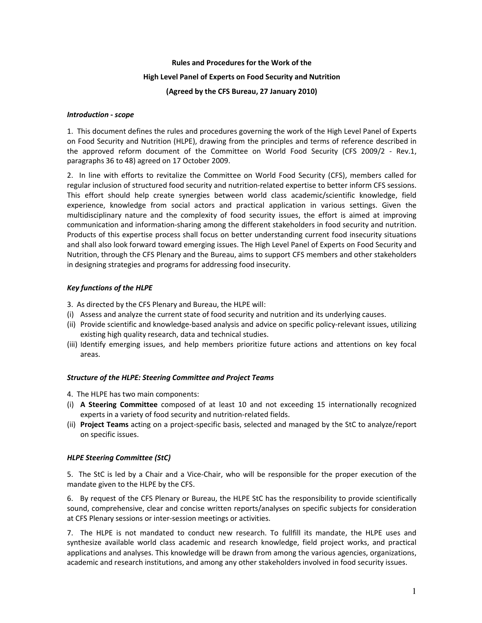# Rules and Procedures for the Work of the High Level Panel of Experts on Food Security and Nutrition (Agreed by the CFS Bureau, 27 January 2010)

### Introduction - scope

1. This document defines the rules and procedures governing the work of the High Level Panel of Experts on Food Security and Nutrition (HLPE), drawing from the principles and terms of reference described in the approved reform document of the Committee on World Food Security (CFS 2009/2 - Rev.1, paragraphs 36 to 48) agreed on 17 October 2009.

2. In line with efforts to revitalize the Committee on World Food Security (CFS), members called for regular inclusion of structured food security and nutrition-related expertise to better inform CFS sessions. This effort should help create synergies between world class academic/scientific knowledge, field experience, knowledge from social actors and practical application in various settings. Given the multidisciplinary nature and the complexity of food security issues, the effort is aimed at improving communication and information-sharing among the different stakeholders in food security and nutrition. Products of this expertise process shall focus on better understanding current food insecurity situations and shall also look forward toward emerging issues. The High Level Panel of Experts on Food Security and Nutrition, through the CFS Plenary and the Bureau, aims to support CFS members and other stakeholders in designing strategies and programs for addressing food insecurity.

# Key functions of the HLPE

3. As directed by the CFS Plenary and Bureau, the HLPE will:

- (i) Assess and analyze the current state of food security and nutrition and its underlying causes.
- (ii) Provide scientific and knowledge-based analysis and advice on specific policy-relevant issues, utilizing existing high quality research, data and technical studies.
- (iii) Identify emerging issues, and help members prioritize future actions and attentions on key focal areas.

#### Structure of the HLPE: Steering Committee and Project Teams

4. The HLPE has two main components:

- (i) A Steering Committee composed of at least 10 and not exceeding 15 internationally recognized experts in a variety of food security and nutrition-related fields.
- (ii) Project Teams acting on a project-specific basis, selected and managed by the StC to analyze/report on specific issues.

# HLPE Steering Committee (StC)

5. The StC is led by a Chair and a Vice-Chair, who will be responsible for the proper execution of the mandate given to the HLPE by the CFS.

6. By request of the CFS Plenary or Bureau, the HLPE StC has the responsibility to provide scientifically sound, comprehensive, clear and concise written reports/analyses on specific subjects for consideration at CFS Plenary sessions or inter-session meetings or activities.

7. The HLPE is not mandated to conduct new research. To fullfill its mandate, the HLPE uses and synthesize available world class academic and research knowledge, field project works, and practical applications and analyses. This knowledge will be drawn from among the various agencies, organizations, academic and research institutions, and among any other stakeholders involved in food security issues.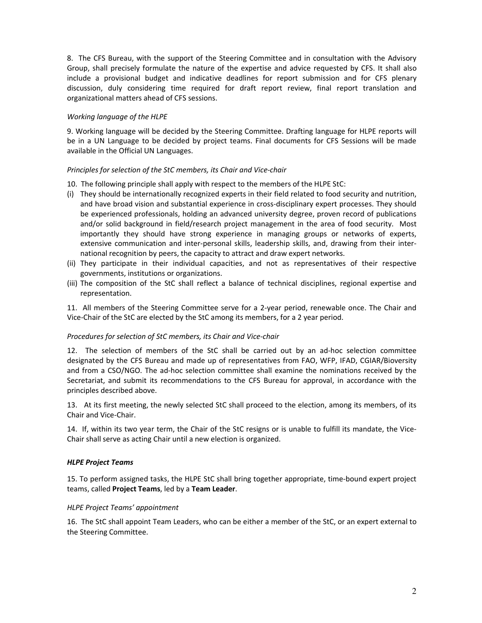8. The CFS Bureau, with the support of the Steering Committee and in consultation with the Advisory Group, shall precisely formulate the nature of the expertise and advice requested by CFS. It shall also include a provisional budget and indicative deadlines for report submission and for CFS plenary discussion, duly considering time required for draft report review, final report translation and organizational matters ahead of CFS sessions.

## Working language of the HLPE

9. Working language will be decided by the Steering Committee. Drafting language for HLPE reports will be in a UN Language to be decided by project teams. Final documents for CFS Sessions will be made available in the Official UN Languages.

## Principles for selection of the StC members, its Chair and Vice-chair

- 10. The following principle shall apply with respect to the members of the HLPE StC:
- (i) They should be internationally recognized experts in their field related to food security and nutrition, and have broad vision and substantial experience in cross-disciplinary expert processes. They should be experienced professionals, holding an advanced university degree, proven record of publications and/or solid background in field/research project management in the area of food security. Most importantly they should have strong experience in managing groups or networks of experts, extensive communication and inter-personal skills, leadership skills, and, drawing from their international recognition by peers, the capacity to attract and draw expert networks.
- (ii) They participate in their individual capacities, and not as representatives of their respective governments, institutions or organizations.
- (iii) The composition of the StC shall reflect a balance of technical disciplines, regional expertise and representation.

11. All members of the Steering Committee serve for a 2-year period, renewable once. The Chair and Vice-Chair of the StC are elected by the StC among its members, for a 2 year period.

#### Procedures for selection of StC members, its Chair and Vice-chair

12. The selection of members of the StC shall be carried out by an ad-hoc selection committee designated by the CFS Bureau and made up of representatives from FAO, WFP, IFAD, CGIAR/Bioversity and from a CSO/NGO. The ad-hoc selection committee shall examine the nominations received by the Secretariat, and submit its recommendations to the CFS Bureau for approval, in accordance with the principles described above.

13. At its first meeting, the newly selected StC shall proceed to the election, among its members, of its Chair and Vice-Chair.

14. If, within its two year term, the Chair of the StC resigns or is unable to fulfill its mandate, the Vice-Chair shall serve as acting Chair until a new election is organized.

#### HLPE Project Teams

15. To perform assigned tasks, the HLPE StC shall bring together appropriate, time-bound expert project teams, called Project Teams, led by a Team Leader.

#### HLPE Project Teams' appointment

16. The StC shall appoint Team Leaders, who can be either a member of the StC, or an expert external to the Steering Committee.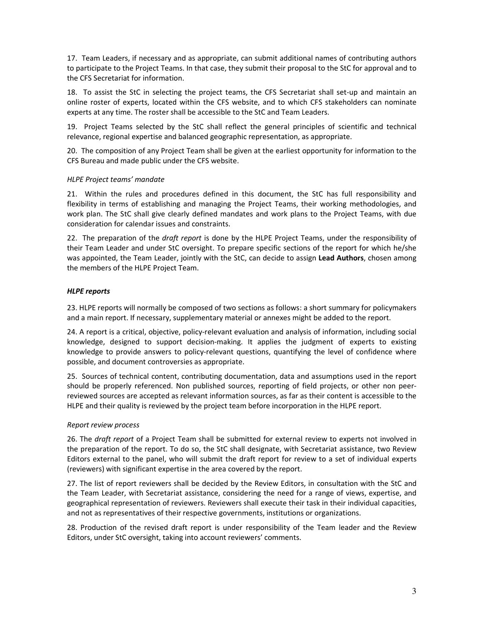17. Team Leaders, if necessary and as appropriate, can submit additional names of contributing authors to participate to the Project Teams. In that case, they submit their proposal to the StC for approval and to the CFS Secretariat for information.

18. To assist the StC in selecting the project teams, the CFS Secretariat shall set-up and maintain an online roster of experts, located within the CFS website, and to which CFS stakeholders can nominate experts at any time. The roster shall be accessible to the StC and Team Leaders.

19. Project Teams selected by the StC shall reflect the general principles of scientific and technical relevance, regional expertise and balanced geographic representation, as appropriate.

20. The composition of any Project Team shall be given at the earliest opportunity for information to the CFS Bureau and made public under the CFS website.

## HLPE Project teams' mandate

21. Within the rules and procedures defined in this document, the StC has full responsibility and flexibility in terms of establishing and managing the Project Teams, their working methodologies, and work plan. The StC shall give clearly defined mandates and work plans to the Project Teams, with due consideration for calendar issues and constraints.

22. The preparation of the draft report is done by the HLPE Project Teams, under the responsibility of their Team Leader and under StC oversight. To prepare specific sections of the report for which he/she was appointed, the Team Leader, jointly with the StC, can decide to assign Lead Authors, chosen among the members of the HLPE Project Team.

## HLPE reports

23. HLPE reports will normally be composed of two sections as follows: a short summary for policymakers and a main report. If necessary, supplementary material or annexes might be added to the report.

24. A report is a critical, objective, policy-relevant evaluation and analysis of information, including social knowledge, designed to support decision-making. It applies the judgment of experts to existing knowledge to provide answers to policy-relevant questions, quantifying the level of confidence where possible, and document controversies as appropriate.

25. Sources of technical content, contributing documentation, data and assumptions used in the report should be properly referenced. Non published sources, reporting of field projects, or other non peerreviewed sources are accepted as relevant information sources, as far as their content is accessible to the HLPE and their quality is reviewed by the project team before incorporation in the HLPE report.

#### Report review process

26. The draft report of a Project Team shall be submitted for external review to experts not involved in the preparation of the report. To do so, the StC shall designate, with Secretariat assistance, two Review Editors external to the panel, who will submit the draft report for review to a set of individual experts (reviewers) with significant expertise in the area covered by the report.

27. The list of report reviewers shall be decided by the Review Editors, in consultation with the StC and the Team Leader, with Secretariat assistance, considering the need for a range of views, expertise, and geographical representation of reviewers. Reviewers shall execute their task in their individual capacities, and not as representatives of their respective governments, institutions or organizations.

28. Production of the revised draft report is under responsibility of the Team leader and the Review Editors, under StC oversight, taking into account reviewers' comments.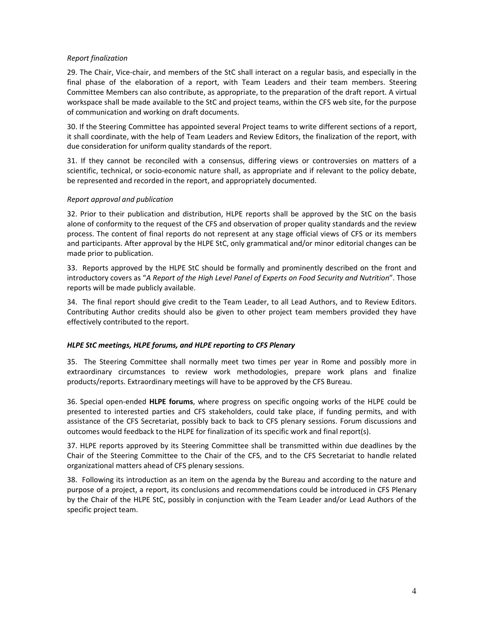### Report finalization

29. The Chair, Vice-chair, and members of the StC shall interact on a regular basis, and especially in the final phase of the elaboration of a report, with Team Leaders and their team members. Steering Committee Members can also contribute, as appropriate, to the preparation of the draft report. A virtual workspace shall be made available to the StC and project teams, within the CFS web site, for the purpose of communication and working on draft documents.

30. If the Steering Committee has appointed several Project teams to write different sections of a report, it shall coordinate, with the help of Team Leaders and Review Editors, the finalization of the report, with due consideration for uniform quality standards of the report.

31. If they cannot be reconciled with a consensus, differing views or controversies on matters of a scientific, technical, or socio-economic nature shall, as appropriate and if relevant to the policy debate, be represented and recorded in the report, and appropriately documented.

## Report approval and publication

32. Prior to their publication and distribution, HLPE reports shall be approved by the StC on the basis alone of conformity to the request of the CFS and observation of proper quality standards and the review process. The content of final reports do not represent at any stage official views of CFS or its members and participants. After approval by the HLPE StC, only grammatical and/or minor editorial changes can be made prior to publication.

33. Reports approved by the HLPE StC should be formally and prominently described on the front and introductory covers as "A Report of the High Level Panel of Experts on Food Security and Nutrition". Those reports will be made publicly available.

34. The final report should give credit to the Team Leader, to all Lead Authors, and to Review Editors. Contributing Author credits should also be given to other project team members provided they have effectively contributed to the report.

#### HLPE StC meetings, HLPE forums, and HLPE reporting to CFS Plenary

35. The Steering Committee shall normally meet two times per year in Rome and possibly more in extraordinary circumstances to review work methodologies, prepare work plans and finalize products/reports. Extraordinary meetings will have to be approved by the CFS Bureau.

36. Special open-ended HLPE forums, where progress on specific ongoing works of the HLPE could be presented to interested parties and CFS stakeholders, could take place, if funding permits, and with assistance of the CFS Secretariat, possibly back to back to CFS plenary sessions. Forum discussions and outcomes would feedback to the HLPE for finalization of its specific work and final report(s).

37. HLPE reports approved by its Steering Committee shall be transmitted within due deadlines by the Chair of the Steering Committee to the Chair of the CFS, and to the CFS Secretariat to handle related organizational matters ahead of CFS plenary sessions.

38. Following its introduction as an item on the agenda by the Bureau and according to the nature and purpose of a project, a report, its conclusions and recommendations could be introduced in CFS Plenary by the Chair of the HLPE StC, possibly in conjunction with the Team Leader and/or Lead Authors of the specific project team.